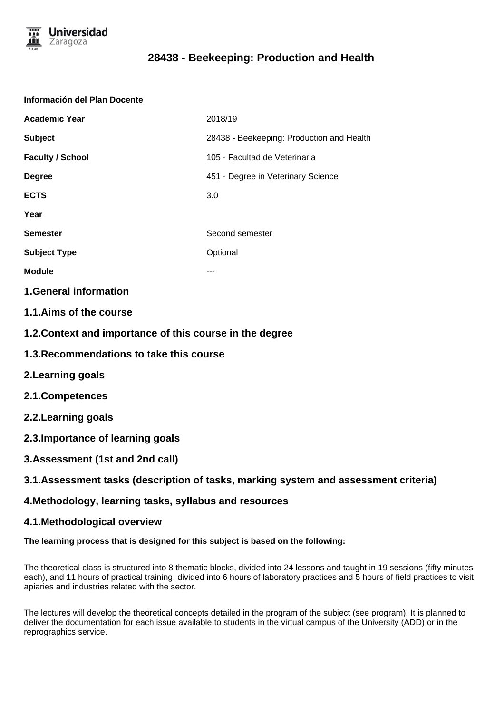

### **Información del Plan Docente**

| <b>Academic Year</b>    | 2018/19                                   |
|-------------------------|-------------------------------------------|
| <b>Subject</b>          | 28438 - Beekeeping: Production and Health |
| <b>Faculty / School</b> | 105 - Facultad de Veterinaria             |
| <b>Degree</b>           | 451 - Degree in Veterinary Science        |
| <b>ECTS</b>             | 3.0                                       |
| Year                    |                                           |
| <b>Semester</b>         | Second semester                           |
| <b>Subject Type</b>     | Optional                                  |
| <b>Module</b>           | ---                                       |
|                         |                                           |

## **1.General information**

- **1.1.Aims of the course**
- **1.2.Context and importance of this course in the degree**
- **1.3.Recommendations to take this course**
- **2.Learning goals**
- **2.1.Competences**
- **2.2.Learning goals**
- **2.3.Importance of learning goals**
- **3.Assessment (1st and 2nd call)**

## **3.1.Assessment tasks (description of tasks, marking system and assessment criteria)**

### **4.Methodology, learning tasks, syllabus and resources**

### **4.1.Methodological overview**

### **The learning process that is designed for this subject is based on the following:**

The theoretical class is structured into 8 thematic blocks, divided into 24 lessons and taught in 19 sessions (fifty minutes each), and 11 hours of practical training, divided into 6 hours of laboratory practices and 5 hours of field practices to visit apiaries and industries related with the sector.

The lectures will develop the theoretical concepts detailed in the program of the subject (see program). It is planned to deliver the documentation for each issue available to students in the virtual campus of the University (ADD) or in the reprographics service.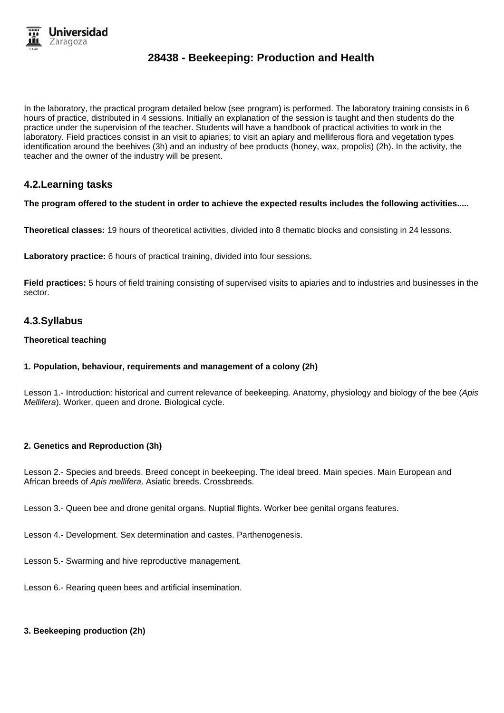

In the laboratory, the practical program detailed below (see program) is performed. The laboratory training consists in 6 hours of practice, distributed in 4 sessions. Initially an explanation of the session is taught and then students do the practice under the supervision of the teacher. Students will have a handbook of practical activities to work in the laboratory. Field practices consist in an visit to apiaries; to visit an apiary and melliferous flora and vegetation types identification around the beehives (3h) and an industry of bee products (honey, wax, propolis) (2h). In the activity, the teacher and the owner of the industry will be present.

## **4.2.Learning tasks**

### **The program offered to the student in order to achieve the expected results includes the following activities.....**

**Theoretical classes:** 19 hours of theoretical activities, divided into 8 thematic blocks and consisting in 24 lessons.

**Laboratory practice:** 6 hours of practical training, divided into four sessions.

**Field practices:** 5 hours of field training consisting of supervised visits to apiaries and to industries and businesses in the sector.

### **4.3.Syllabus**

#### **Theoretical teaching**

### **1. Population, behaviour, requirements and management of a colony (2h)**

Lesson 1.- Introduction: historical and current relevance of beekeeping. Anatomy, physiology and biology of the bee (Apis Mellifera). Worker, queen and drone. Biological cycle.

### **2. Genetics and Reproduction (3h)**

Lesson 2.- Species and breeds. Breed concept in beekeeping. The ideal breed. Main species. Main European and African breeds of Apis mellifera. Asiatic breeds. Crossbreeds.

Lesson 3.- Queen bee and drone genital organs. Nuptial flights. Worker bee genital organs features.

Lesson 4.- Development. Sex determination and castes. Parthenogenesis.

Lesson 5.- Swarming and hive reproductive management.

Lesson 6.- Rearing queen bees and artificial insemination.

### **3. Beekeeping production (2h)**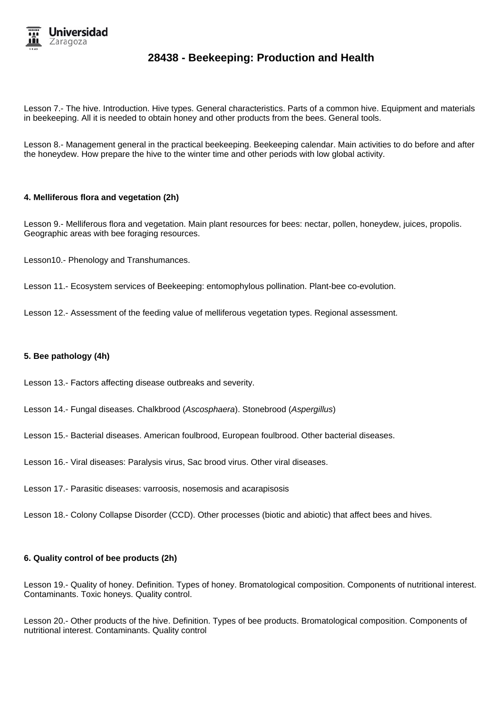

Lesson 7.- The hive. Introduction. Hive types. General characteristics. Parts of a common hive. Equipment and materials in beekeeping. All it is needed to obtain honey and other products from the bees. General tools.

Lesson 8.- Management general in the practical beekeeping. Beekeeping calendar. Main activities to do before and after the honeydew. How prepare the hive to the winter time and other periods with low global activity.

#### **4. Melliferous flora and vegetation (2h)**

Lesson 9.- Melliferous flora and vegetation. Main plant resources for bees: nectar, pollen, honeydew, juices, propolis. Geographic areas with bee foraging resources.

Lesson10.- Phenology and Transhumances.

Lesson 11.- Ecosystem services of Beekeeping: entomophylous pollination. Plant-bee co-evolution.

Lesson 12.- Assessment of the feeding value of melliferous vegetation types. Regional assessment.

#### **5. Bee pathology (4h)**

Lesson 13.- Factors affecting disease outbreaks and severity.

- Lesson 14.- Fungal diseases. Chalkbrood (Ascosphaera). Stonebrood (Aspergillus)
- Lesson 15.- Bacterial diseases. American foulbrood, European foulbrood. Other bacterial diseases.

Lesson 16.- Viral diseases: Paralysis virus, Sac brood virus. Other viral diseases.

Lesson 17.- Parasitic diseases: varroosis, nosemosis and acarapisosis

Lesson 18.- Colony Collapse Disorder (CCD). Other processes (biotic and abiotic) that affect bees and hives.

### **6. Quality control of bee products (2h)**

Lesson 19.- Quality of honey. Definition. Types of honey. Bromatological composition. Components of nutritional interest. Contaminants. Toxic honeys. Quality control.

Lesson 20.- Other products of the hive. Definition. Types of bee products. Bromatological composition. Components of nutritional interest. Contaminants. Quality control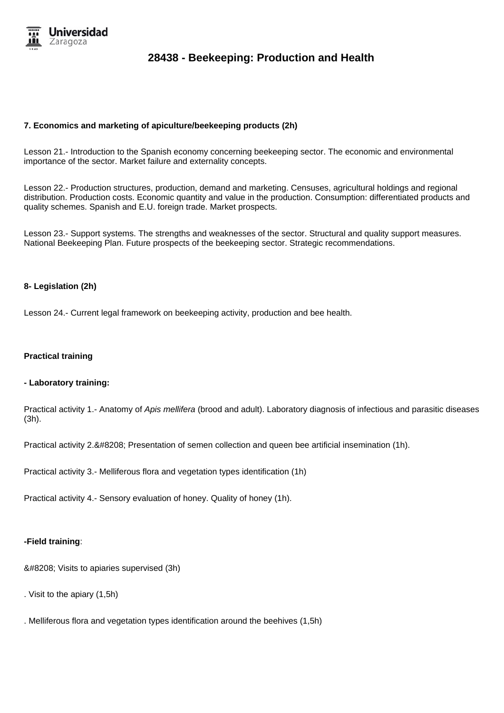

### **7. Economics and marketing of apiculture/beekeeping products (2h)**

Lesson 21.- Introduction to the Spanish economy concerning beekeeping sector. The economic and environmental importance of the sector. Market failure and externality concepts.

Lesson 22.- Production structures, production, demand and marketing. Censuses, agricultural holdings and regional distribution. Production costs. Economic quantity and value in the production. Consumption: differentiated products and quality schemes. Spanish and E.U. foreign trade. Market prospects.

Lesson 23.- Support systems. The strengths and weaknesses of the sector. Structural and quality support measures. National Beekeeping Plan. Future prospects of the beekeeping sector. Strategic recommendations.

### **8- Legislation (2h)**

Lesson 24.- Current legal framework on beekeeping activity, production and bee health.

#### **Practical training**

#### **- Laboratory training:**

Practical activity 1.- Anatomy of Apis mellifera (brood and adult). Laboratory diagnosis of infectious and parasitic diseases (3h).

Practical activity 2.‐ Presentation of semen collection and queen bee artificial insemination (1h).

Practical activity 3.- Melliferous flora and vegetation types identification (1h)

Practical activity 4.- Sensory evaluation of honey. Quality of honey (1h).

#### **-Field training**:

‐ Visits to apiaries supervised (3h)

- . Visit to the apiary (1,5h)
- . Melliferous flora and vegetation types identification around the beehives (1,5h)